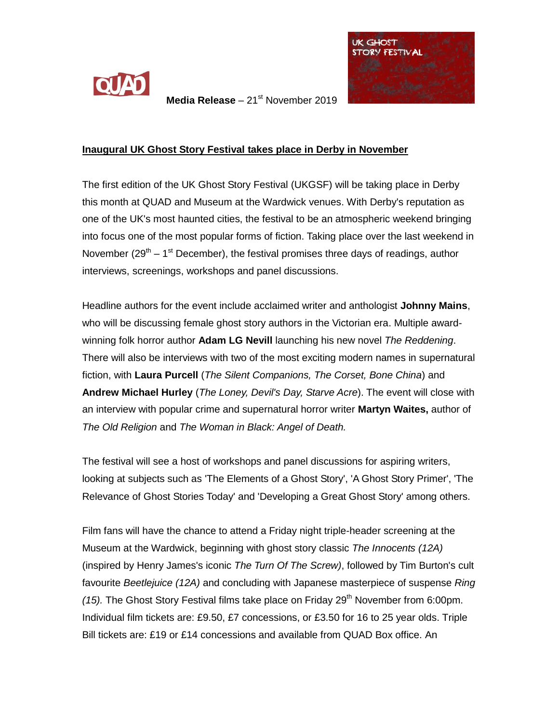

**Media Release** – 21<sup>st</sup> November 2019



## **Inaugural UK Ghost Story Festival takes place in Derby in November**

The first edition of the UK Ghost Story Festival (UKGSF) will be taking place in Derby this month at QUAD and Museum at the Wardwick venues. With Derby's reputation as one of the UK's most haunted cities, the festival to be an atmospheric weekend bringing into focus one of the most popular forms of fiction. Taking place over the last weekend in November (29<sup>th</sup> – 1<sup>st</sup> December), the festival promises three days of readings, author interviews, screenings, workshops and panel discussions.

Headline authors for the event include acclaimed writer and anthologist **Johnny Mains**, who will be discussing female ghost story authors in the Victorian era. Multiple awardwinning folk horror author **Adam LG Nevill** launching his new novel *The Reddening*. There will also be interviews with two of the most exciting modern names in supernatural fiction, with **Laura Purcell** (*The Silent Companions, The Corset, Bone China*) and **Andrew Michael Hurley** (*The Loney, Devil's Day, Starve Acre*). The event will close with an interview with popular crime and supernatural horror writer **Martyn Waites,** author of *The Old Religion* and *The Woman in Black: Angel of Death.*

The festival will see a host of workshops and panel discussions for aspiring writers, looking at subjects such as 'The Elements of a Ghost Story', 'A Ghost Story Primer', 'The Relevance of Ghost Stories Today' and 'Developing a Great Ghost Story' among others.

Film fans will have the chance to attend a Friday night triple-header screening at the Museum at the Wardwick, beginning with ghost story classic *The Innocents (12A)* (inspired by Henry James's iconic *The Turn Of The Screw)*, followed by Tim Burton's cult favourite *Beetlejuice (12A)* and concluding with Japanese masterpiece of suspense *Ring (15).* The Ghost Story Festival films take place on Friday 29<sup>th</sup> November from 6:00pm. Individual film tickets are: £9.50, £7 concessions, or £3.50 for 16 to 25 year olds. Triple Bill tickets are: £19 or £14 concessions and available from QUAD Box office. An